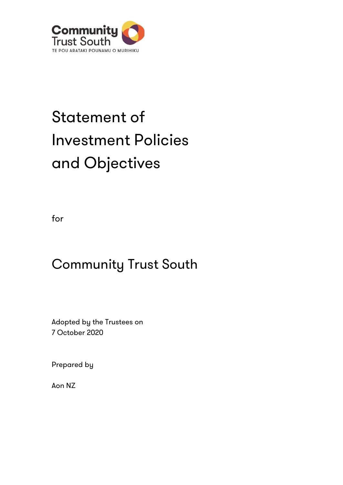

# Statement of Investment Policies and Objectives

for

# Community Trust South

Adopted by the Trustees on 7 October 2020

Prepared by

Aon NZ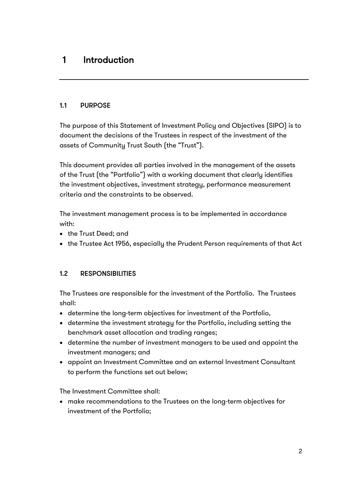## 1 Introduction

#### 1.1 PURPOSE

The purpose of this Statement of Investment Policy and Objectives (SIPO) is to document the decisions of the Trustees in respect of the investment of the assets of Community Trust South (the "Trust").

This document provides all parties involved in the management of the assets of the Trust (the "Portfolio") with a working document that clearly identifies the investment objectives, investment strategy, performance measurement criteria and the constraints to be observed.

The investment management process is to be implemented in accordance with:

- the Trust Deed; and
- the Trustee Act 1956, especially the Prudent Person requirements of that Act

#### 1.2 RESPONSIBILITIES

The Trustees are responsible for the investment of the Portfolio. The Trustees shall:

- determine the long-term objectives for investment of the Portfolio,
- determine the investment strategy for the Portfolio, including setting the benchmark asset allocation and trading ranges;
- determine the number of investment managers to be used and appoint the investment managers; and
- appoint an Investment Committee and an external Investment Consultant to perform the functions set out below;

The Investment Committee shall:

• make recommendations to the Trustees on the long-term objectives for investment of the Portfolio;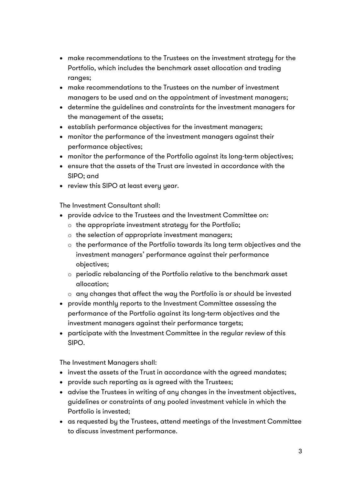- make recommendations to the Trustees on the investment strategy for the Portfolio, which includes the benchmark asset allocation and trading ranges;
- make recommendations to the Trustees on the number of investment managers to be used and on the appointment of investment managers;
- determine the guidelines and constraints for the investment managers for the management of the assets;
- establish performance objectives for the investment managers;
- monitor the performance of the investment managers against their performance objectives;
- monitor the performance of the Portfolio against its long-term objectives;
- ensure that the assets of the Trust are invested in accordance with the SIPO; and
- review this SIPO at least every year.

The Investment Consultant shall:

- provide advice to the Trustees and the Investment Committee on:
	- o the appropriate investment strategy for the Portfolio;
	- o the selection of appropriate investment managers;
	- o the performance of the Portfolio towards its long term objectives and the investment managers' performance against their performance objectives;
	- o periodic rebalancing of the Portfolio relative to the benchmark asset allocation;
	- o any changes that affect the way the Portfolio is or should be invested
- provide monthly reports to the Investment Committee assessing the performance of the Portfolio against its long-term objectives and the investment managers against their performance targets;
- participate with the Investment Committee in the regular review of this SIPO.

The Investment Managers shall:

- invest the assets of the Trust in accordance with the agreed mandates;
- provide such reporting as is agreed with the Trustees;
- advise the Trustees in writing of any changes in the investment objectives, guidelines or constraints of any pooled investment vehicle in which the Portfolio is invested;
- as requested by the Trustees, attend meetings of the Investment Committee to discuss investment performance.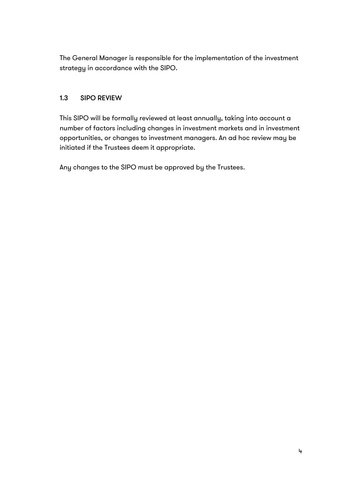The General Manager is responsible for the implementation of the investment strategy in accordance with the SIPO.

#### 1.3 SIPO REVIEW

This SIPO will be formally reviewed at least annually, taking into account a number of factors including changes in investment markets and in investment opportunities, or changes to investment managers. An ad hoc review may be initiated if the Trustees deem it appropriate.

Any changes to the SIPO must be approved by the Trustees.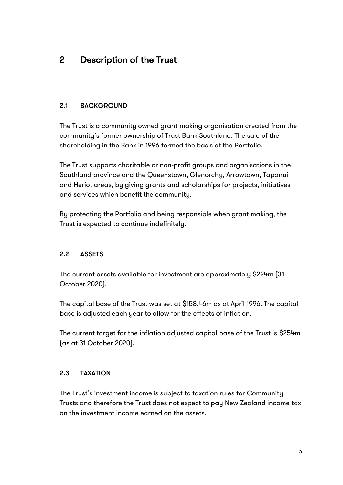#### 2.1 BACKGROUND

The Trust is a community owned grant-making organisation created from the community's former ownership of Trust Bank Southland. The sale of the shareholding in the Bank in 1996 formed the basis of the Portfolio.

The Trust supports charitable or non-profit groups and organisations in the Southland province and the Queenstown, Glenorchy, Arrowtown, Tapanui and Heriot areas, by giving grants and scholarships for projects, initiatives and services which benefit the community.

By protecting the Portfolio and being responsible when grant making, the Trust is expected to continue indefinitely.

#### 2.2 ASSETS

The current assets available for investment are approximately \$224m (31 October 2020).

The capital base of the Trust was set at \$158.46m as at April 1996. The capital base is adjusted each year to allow for the effects of inflation.

The current target for the inflation adjusted capital base of the Trust is \$254m (as at 31 October 2020).

#### 2.3 TAXATION

The Trust's investment income is subject to taxation rules for Community Trusts and therefore the Trust does not expect to pay New Zealand income tax on the investment income earned on the assets.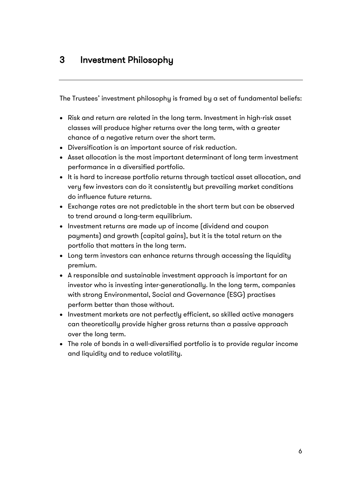The Trustees' investment philosophy is framed by a set of fundamental beliefs:

- Risk and return are related in the long term. Investment in high-risk asset classes will produce higher returns over the long term, with a greater chance of a negative return over the short term.
- Diversification is an important source of risk reduction.
- Asset allocation is the most important determinant of long term investment performance in a diversified portfolio.
- It is hard to increase portfolio returns through tactical asset allocation, and very few investors can do it consistently but prevailing market conditions do influence future returns.
- Exchange rates are not predictable in the short term but can be observed to trend around a long-term equilibrium.
- Investment returns are made up of income (dividend and coupon payments) and growth (capital gains), but it is the total return on the portfolio that matters in the long term.
- Long term investors can enhance returns through accessing the liquidity premium.
- A responsible and sustainable investment approach is important for an investor who is investing inter-generationally. In the long term, companies with strong Environmental, Social and Governance (ESG) practises perform better than those without.
- Investment markets are not perfectly efficient, so skilled active managers can theoretically provide higher gross returns than a passive approach over the long term.
- The role of bonds in a well-diversified portfolio is to provide regular income and liquidity and to reduce volatility.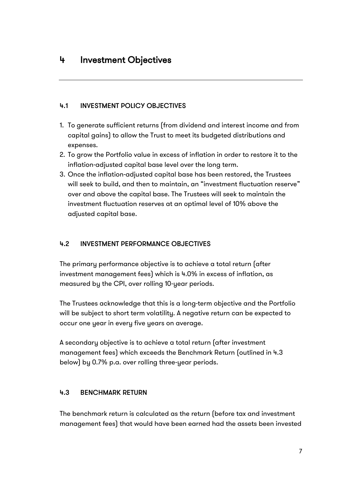### 4 Investment Objectives

#### 4.1 INVESTMENT POLICY OBJECTIVES

- 1. To generate sufficient returns (from dividend and interest income and from capital gains) to allow the Trust to meet its budgeted distributions and expenses.
- 2. To grow the Portfolio value in excess of inflation in order to restore it to the inflation-adjusted capital base level over the long term.
- 3. Once the inflation-adjusted capital base has been restored, the Trustees will seek to build, and then to maintain, an "investment fluctuation reserve" over and above the capital base. The Trustees will seek to maintain the investment fluctuation reserves at an optimal level of 10% above the adjusted capital base.

#### 4.2 INVESTMENT PERFORMANCE OBJECTIVES

The primary performance objective is to achieve a total return (after investment management fees) which is 4.0% in excess of inflation, as measured by the CPI, over rolling 10-year periods.

The Trustees acknowledge that this is a long-term objective and the Portfolio will be subject to short term volatility. A negative return can be expected to occur one year in every five years on average.

A secondary objective is to achieve a total return (after investment management fees) which exceeds the Benchmark Return (outlined in 4.3 below) by 0.7% p.a. over rolling three-year periods.

#### 4.3 BENCHMARK RETURN

The benchmark return is calculated as the return (before tax and investment management fees) that would have been earned had the assets been invested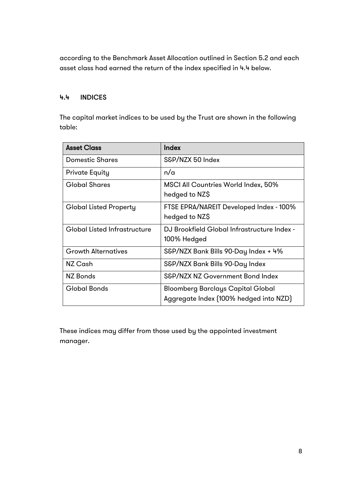according to the Benchmark Asset Allocation outlined in Section 5.2 and each asset class had earned the return of the index specified in 4.4 below.

#### 4.4 INDICES

The capital market indices to be used by the Trust are shown in the following table:

| <b>Asset Class</b>                  | Index                                                                              |
|-------------------------------------|------------------------------------------------------------------------------------|
| Domestic Shares                     | S&P/NZX 50 Index                                                                   |
| <b>Private Equity</b>               | n/a                                                                                |
| <b>Global Shares</b>                | MSCI All Countries World Index, 50%<br>hedged to NZ\$                              |
| Global Listed Property              | FTSE EPRA/NAREIT Developed Index - 100%<br>hedged to NZ\$                          |
| <b>Global Listed Infrastructure</b> | DJ Brookfield Global Infrastructure Index -<br>100% Hedged                         |
| <b>Growth Alternatives</b>          | S&P/NZX Bank Bills 90-Day Index + 4%                                               |
| NZ Cash                             | S&P/NZX Bank Bills 90-Day Index                                                    |
| <b>NZ Bonds</b>                     | S&P/NZX NZ Government Bond Index                                                   |
| <b>Global Bonds</b>                 | <b>Bloomberg Barclays Capital Global</b><br>Aggregate Index (100% hedged into NZD) |

These indices may differ from those used by the appointed investment manager.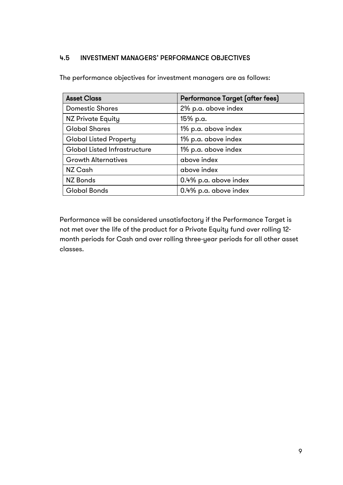#### 4.5 INVESTMENT MANAGERS' PERFORMANCE OBJECTIVES

The performance objectives for investment managers are as follows:

| <b>Asset Class</b>            | Performance Target (after fees) |  |
|-------------------------------|---------------------------------|--|
| <b>Domestic Shares</b>        | 2% p.a. above index             |  |
| <b>NZ Private Equity</b>      | 15% p.a.                        |  |
| <b>Global Shares</b>          | 1% p.a. above index             |  |
| <b>Global Listed Property</b> | 1% p.a. above index             |  |
| Global Listed Infrastructure  | 1% p.a. above index             |  |
| <b>Growth Alternatives</b>    | above index                     |  |
| NZ Cash                       | above index                     |  |
| <b>NZ Bonds</b>               | 0.4% p.a. above index           |  |
| <b>Global Bonds</b>           | 0.4% p.a. above index           |  |

Performance will be considered unsatisfactory if the Performance Target is not met over the life of the product for a Private Equity fund over rolling 12 month periods for Cash and over rolling three-year periods for all other asset classes.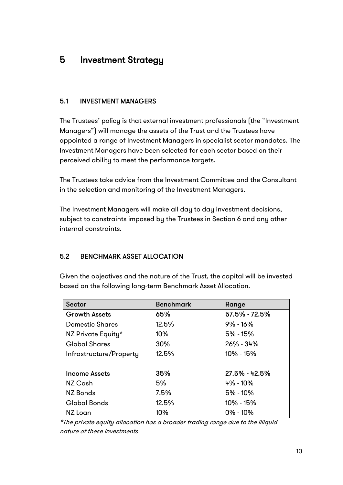#### 5.1 INVESTMENT MANAGERS

The Trustees' policy is that external investment professionals (the "Investment Managers") will manage the assets of the Trust and the Trustees have appointed a range of Investment Managers in specialist sector mandates. The Investment Managers have been selected for each sector based on their perceived ability to meet the performance targets.

The Trustees take advice from the Investment Committee and the Consultant in the selection and monitoring of the Investment Managers.

The Investment Managers will make all day to day investment decisions, subject to constraints imposed by the Trustees in Section 6 and any other internal constraints.

#### 5.2 BENCHMARK ASSET ALLOCATION

Given the objectives and the nature of the Trust, the capital will be invested based on the following long-term Benchmark Asset Allocation.

| <b>Sector</b>           | <b>Benchmark</b> | Range           |
|-------------------------|------------------|-----------------|
| <b>Growth Assets</b>    | 65%              | 57.5% - 72.5%   |
| <b>Domestic Shares</b>  | 12.5%            | $9\% - 16\%$    |
| NZ Private Equity*      | 10%              | $5% - 15%$      |
| <b>Global Shares</b>    | 30%              | $26\% - 34\%$   |
| Infrastructure/Property | 12.5%            | 10% - 15%       |
|                         |                  |                 |
| <b>Income Assets</b>    | 35%              | $27.5% - 42.5%$ |
| NZ Cash                 | 5%               | 4% - 10%        |
| <b>NZ Bonds</b>         | 7.5%             | $5\% - 10\%$    |
| <b>Global Bonds</b>     | 12.5%            | 10% - 15%       |
| NZ Loan                 | 10%              | $0\% - 10\%$    |

\*The private equity allocation has a broader trading range due to the illiquid nature of these investments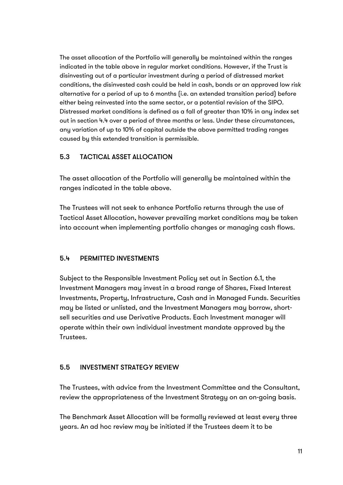The asset allocation of the Portfolio will generally be maintained within the ranges indicated in the table above in regular market conditions. However, if the Trust is disinvesting out of a particular investment during a period of distressed market conditions, the disinvested cash could be held in cash, bonds or an approved low risk alternative for a period of up to 6 months (i.e. an extended transition period) before either being reinvested into the same sector, or a potential revision of the SIPO. Distressed market conditions is defined as a fall of greater than 10% in any index set out in section 4.4 over a period of three months or less. Under these circumstances, any variation of up to 10% of capital outside the above permitted trading ranges caused by this extended transition is permissible.

#### 5.3 TACTICAL ASSET ALLOCATION

The asset allocation of the Portfolio will generally be maintained within the ranges indicated in the table above.

The Trustees will not seek to enhance Portfolio returns through the use of Tactical Asset Allocation, however prevailing market conditions may be taken into account when implementing portfolio changes or managing cash flows.

#### 5.4 PERMITTED INVESTMENTS

Subject to the Responsible Investment Policy set out in Section 6.1, the Investment Managers may invest in a broad range of Shares, Fixed Interest Investments, Property, Infrastructure, Cash and in Managed Funds. Securities may be listed or unlisted, and the Investment Managers may borrow, shortsell securities and use Derivative Products. Each Investment manager will operate within their own individual investment mandate approved by the Trustees.

#### 5.5 INVESTMENT STRATEGY REVIEW

The Trustees, with advice from the Investment Committee and the Consultant, review the appropriateness of the Investment Strategy on an on-going basis.

The Benchmark Asset Allocation will be formally reviewed at least every three years. An ad hoc review may be initiated if the Trustees deem it to be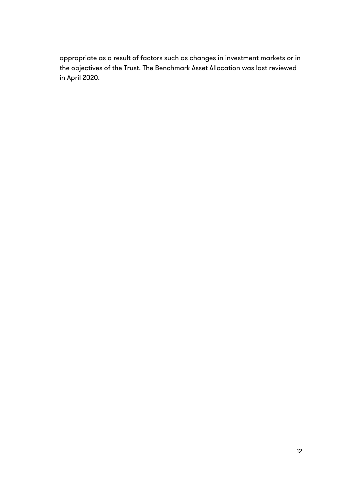appropriate as a result of factors such as changes in investment markets or in the objectives of the Trust. The Benchmark Asset Allocation was last reviewed in April 2020.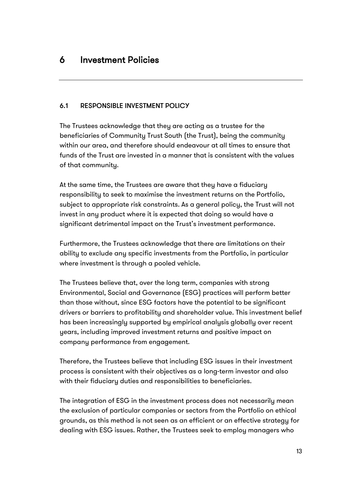#### 6.1 RESPONSIBLE INVESTMENT POLICY

The Trustees acknowledge that they are acting as a trustee for the beneficiaries of Community Trust South (the Trust), being the community within our area, and therefore should endeavour at all times to ensure that funds of the Trust are invested in a manner that is consistent with the values of that community.

At the same time, the Trustees are aware that they have a fiduciary responsibility to seek to maximise the investment returns on the Portfolio, subject to appropriate risk constraints. As a general policy, the Trust will not invest in any product where it is expected that doing so would have a significant detrimental impact on the Trust's investment performance.

Furthermore, the Trustees acknowledge that there are limitations on their ability to exclude any specific investments from the Portfolio, in particular where investment is through a pooled vehicle.

The Trustees believe that, over the long term, companies with strong Environmental, Social and Governance (ESG) practices will perform better than those without, since ESG factors have the potential to be significant drivers or barriers to profitability and shareholder value. This investment belief has been increasingly supported by empirical analysis globally over recent years, including improved investment returns and positive impact on company performance from engagement.

Therefore, the Trustees believe that including ESG issues in their investment process is consistent with their objectives as a long-term investor and also with their fiduciary duties and responsibilities to beneficiaries.

The integration of ESG in the investment process does not necessarily mean the exclusion of particular companies or sectors from the Portfolio on ethical grounds, as this method is not seen as an efficient or an effective strategy for dealing with ESG issues. Rather, the Trustees seek to employ managers who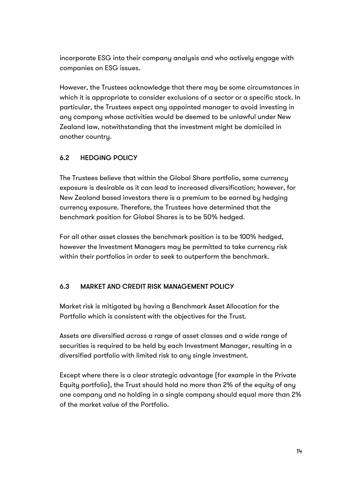incorporate ESG into their company analysis and who actively engage with companies on ESG issues.

However, the Trustees acknowledge that there may be some circumstances in which it is appropriate to consider exclusions of a sector or a specific stock. In particular, the Trustees expect any appointed manager to avoid investing in any company whose activities would be deemed to be unlawful under New Zealand law, notwithstanding that the investment might be domiciled in another country.

#### 6.2 HEDGING POLICY

The Trustees believe that within the Global Share portfolio, some currency exposure is desirable as it can lead to increased diversification; however, for New Zealand based investors there is a premium to be earned by hedging currency exposure. Therefore, the Trustees have determined that the benchmark position for Global Shares is to be 50% hedged.

For all other asset classes the benchmark position is to be 100% hedged, however the Investment Managers may be permitted to take currency risk within their portfolios in order to seek to outperform the benchmark.

#### 6.3 MARKET AND CREDIT RISK MANAGEMENT POLICY

Market risk is mitigated by having a Benchmark Asset Allocation for the Portfolio which is consistent with the objectives for the Trust.

Assets are diversified across a range of asset classes and a wide range of securities is required to be held by each Investment Manager, resulting in a diversified portfolio with limited risk to any single investment.

Except where there is a clear strategic advantage (for example in the Private Equity portfolio), the Trust should hold no more than 2% of the equity of any one company and no holding in a single company should equal more than 2% of the market value of the Portfolio.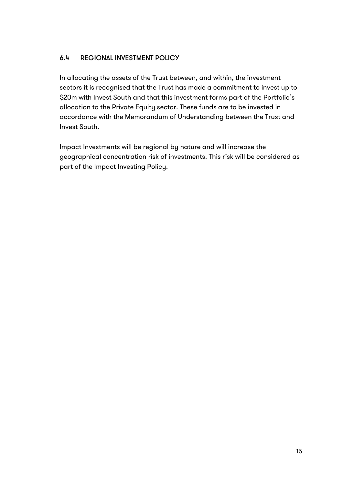#### 6.4 REGIONAL INVESTMENT POLICY

In allocating the assets of the Trust between, and within, the investment sectors it is recognised that the Trust has made a commitment to invest up to \$20m with Invest South and that this investment forms part of the Portfolio's allocation to the Private Equity sector. These funds are to be invested in accordance with the Memorandum of Understanding between the Trust and Invest South.

Impact Investments will be regional by nature and will increase the geographical concentration risk of investments. This risk will be considered as part of the Impact Investing Policy.